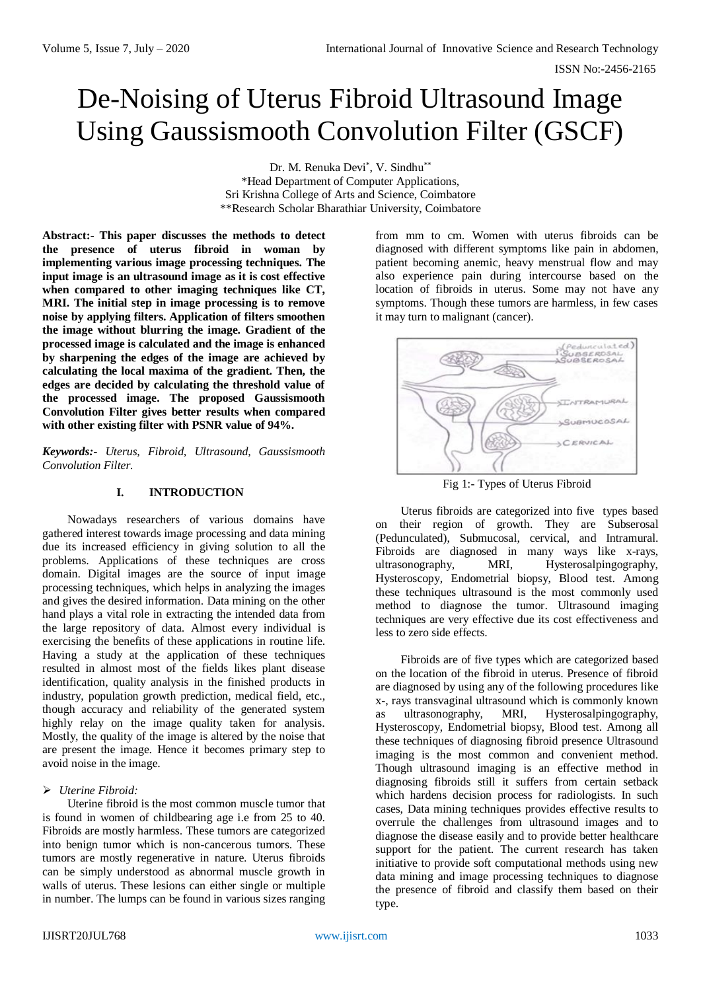# De-Noising of Uterus Fibroid Ultrasound Image Using Gaussismooth Convolution Filter (GSCF)

Dr. M. Renuka Devi\*, V. Sindhu\*\* \*Head Department of Computer Applications, Sri Krishna College of Arts and Science, Coimbatore \*\*Research Scholar Bharathiar University, Coimbatore

**Abstract:- This paper discusses the methods to detect the presence of uterus fibroid in woman by implementing various image processing techniques. The input image is an ultrasound image as it is cost effective when compared to other imaging techniques like CT, MRI. The initial step in image processing is to remove noise by applying filters. Application of filters smoothen the image without blurring the image. Gradient of the processed image is calculated and the image is enhanced by sharpening the edges of the image are achieved by calculating the local maxima of the gradient. Then, the edges are decided by calculating the threshold value of the processed image. The proposed Gaussismooth Convolution Filter gives better results when compared with other existing filter with PSNR value of 94%.**

*Keywords:- Uterus, Fibroid, Ultrasound, Gaussismooth Convolution Filter.*

#### **I. INTRODUCTION**

Nowadays researchers of various domains have gathered interest towards image processing and data mining due its increased efficiency in giving solution to all the problems. Applications of these techniques are cross domain. Digital images are the source of input image processing techniques, which helps in analyzing the images and gives the desired information. Data mining on the other hand plays a vital role in extracting the intended data from the large repository of data. Almost every individual is exercising the benefits of these applications in routine life. Having a study at the application of these techniques resulted in almost most of the fields likes plant disease identification, quality analysis in the finished products in industry, population growth prediction, medical field, etc., though accuracy and reliability of the generated system highly relay on the image quality taken for analysis. Mostly, the quality of the image is altered by the noise that are present the image. Hence it becomes primary step to avoid noise in the image.

## *Uterine Fibroid:*

Uterine fibroid is the most common muscle tumor that is found in women of childbearing age i.e from 25 to 40. Fibroids are mostly harmless. These tumors are categorized into benign tumor which is non-cancerous tumors. These tumors are mostly regenerative in nature. Uterus fibroids can be simply understood as abnormal muscle growth in walls of uterus. These lesions can either single or multiple in number. The lumps can be found in various sizes ranging

from mm to cm. Women with uterus fibroids can be diagnosed with different symptoms like pain in abdomen, patient becoming anemic, heavy menstrual flow and may also experience pain during intercourse based on the location of fibroids in uterus. Some may not have any symptoms. Though these tumors are harmless, in few cases it may turn to malignant (cancer).



Fig 1:- Types of Uterus Fibroid

Uterus fibroids are categorized into five types based on their region of growth. They are Subserosal (Pedunculated), Submucosal, cervical, and Intramural. Fibroids are diagnosed in many ways like x-rays, ultrasonography, MRI, Hysterosalpingography, Hysteroscopy, Endometrial biopsy, Blood test. Among these techniques ultrasound is the most commonly used method to diagnose the tumor. Ultrasound imaging techniques are very effective due its cost effectiveness and less to zero side effects.

Fibroids are of five types which are categorized based on the location of the fibroid in uterus. Presence of fibroid are diagnosed by using any of the following procedures like x-, rays transvaginal ultrasound which is commonly known as ultrasonography, MRI, Hysterosalpingography, Hysteroscopy, Endometrial biopsy, Blood test. Among all these techniques of diagnosing fibroid presence Ultrasound imaging is the most common and convenient method. Though ultrasound imaging is an effective method in diagnosing fibroids still it suffers from certain setback which hardens decision process for radiologists. In such cases, Data mining techniques provides effective results to overrule the challenges from ultrasound images and to diagnose the disease easily and to provide better healthcare support for the patient. The current research has taken initiative to provide soft computational methods using new data mining and image processing techniques to diagnose the presence of fibroid and classify them based on their type.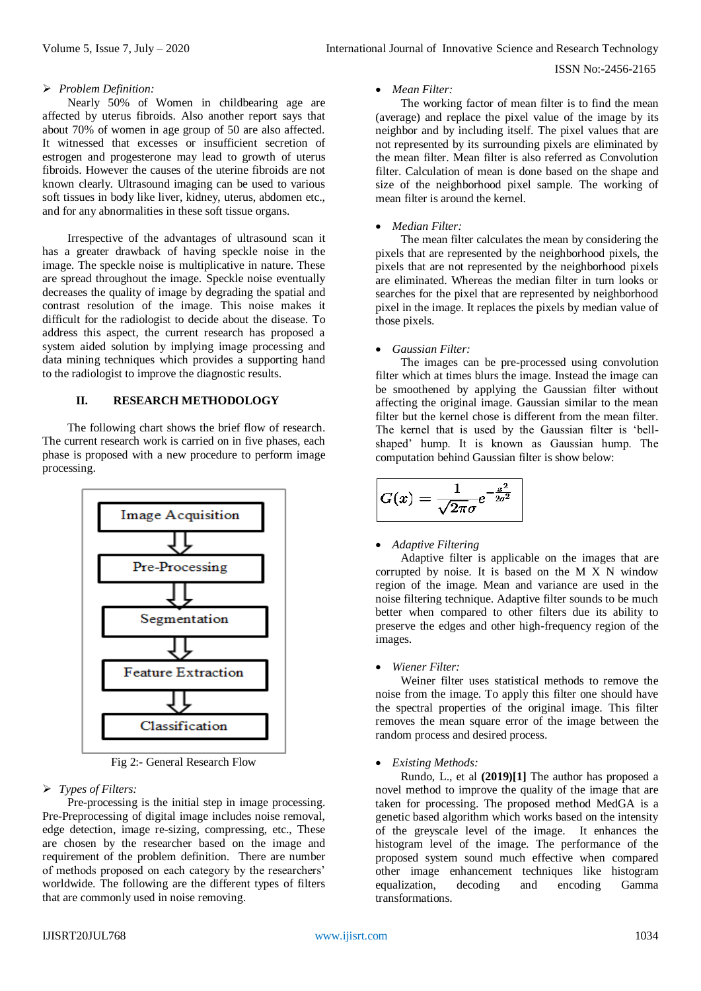#### *Problem Definition:*

Nearly 50% of Women in childbearing age are affected by uterus fibroids. Also another report says that about 70% of women in age group of 50 are also affected. It witnessed that excesses or insufficient secretion of estrogen and progesterone may lead to growth of uterus fibroids. However the causes of the uterine fibroids are not known clearly. Ultrasound imaging can be used to various soft tissues in body like liver, kidney, uterus, abdomen etc., and for any abnormalities in these soft tissue organs.

Irrespective of the advantages of ultrasound scan it has a greater drawback of having speckle noise in the image. The speckle noise is multiplicative in nature. These are spread throughout the image. Speckle noise eventually decreases the quality of image by degrading the spatial and contrast resolution of the image. This noise makes it difficult for the radiologist to decide about the disease. To address this aspect, the current research has proposed a system aided solution by implying image processing and data mining techniques which provides a supporting hand to the radiologist to improve the diagnostic results.

## **II. RESEARCH METHODOLOGY**

The following chart shows the brief flow of research. The current research work is carried on in five phases, each phase is proposed with a new procedure to perform image processing.



Fig 2:- General Research Flow

#### *Types of Filters:*

Pre-processing is the initial step in image processing. Pre-Preprocessing of digital image includes noise removal, edge detection, image re-sizing, compressing, etc., These are chosen by the researcher based on the image and requirement of the problem definition. There are number of methods proposed on each category by the researchers' worldwide. The following are the different types of filters that are commonly used in noise removing.

#### *Mean Filter:*

The working factor of mean filter is to find the mean (average) and replace the pixel value of the image by its neighbor and by including itself. The pixel values that are not represented by its surrounding pixels are eliminated by the mean filter. Mean filter is also referred as Convolution filter. Calculation of mean is done based on the shape and size of the neighborhood pixel sample. The working of mean filter is around the kernel.

#### *Median Filter:*

The mean filter calculates the mean by considering the pixels that are represented by the neighborhood pixels, the pixels that are not represented by the neighborhood pixels are eliminated. Whereas the median filter in turn looks or searches for the pixel that are represented by neighborhood pixel in the image. It replaces the pixels by median value of those pixels.

#### *Gaussian Filter:*

The images can be pre-processed using convolution filter which at times blurs the image. Instead the image can be smoothened by applying the Gaussian filter without affecting the original image. Gaussian similar to the mean filter but the kernel chose is different from the mean filter. The kernel that is used by the Gaussian filter is 'bellshaped' hump. It is known as Gaussian hump. The computation behind Gaussian filter is show below:

$$
G(x)=\frac{1}{\sqrt{2\pi}\sigma}e^{-\frac{x^2}{2\sigma^2}}
$$

#### *Adaptive Filtering*

Adaptive filter is applicable on the images that are corrupted by noise. It is based on the M X N window region of the image. Mean and variance are used in the noise filtering technique. Adaptive filter sounds to be much better when compared to other filters due its ability to preserve the edges and other high-frequency region of the images.

#### *Wiener Filter:*

Weiner filter uses statistical methods to remove the noise from the image. To apply this filter one should have the spectral properties of the original image. This filter removes the mean square error of the image between the random process and desired process.

#### *Existing Methods:*

Rundo, L., et al **(2019)[1]** The author has proposed a novel method to improve the quality of the image that are taken for processing. The proposed method MedGA is a genetic based algorithm which works based on the intensity of the greyscale level of the image. It enhances the histogram level of the image. The performance of the proposed system sound much effective when compared other image enhancement techniques like histogram equalization, decoding and encoding Gamma transformations.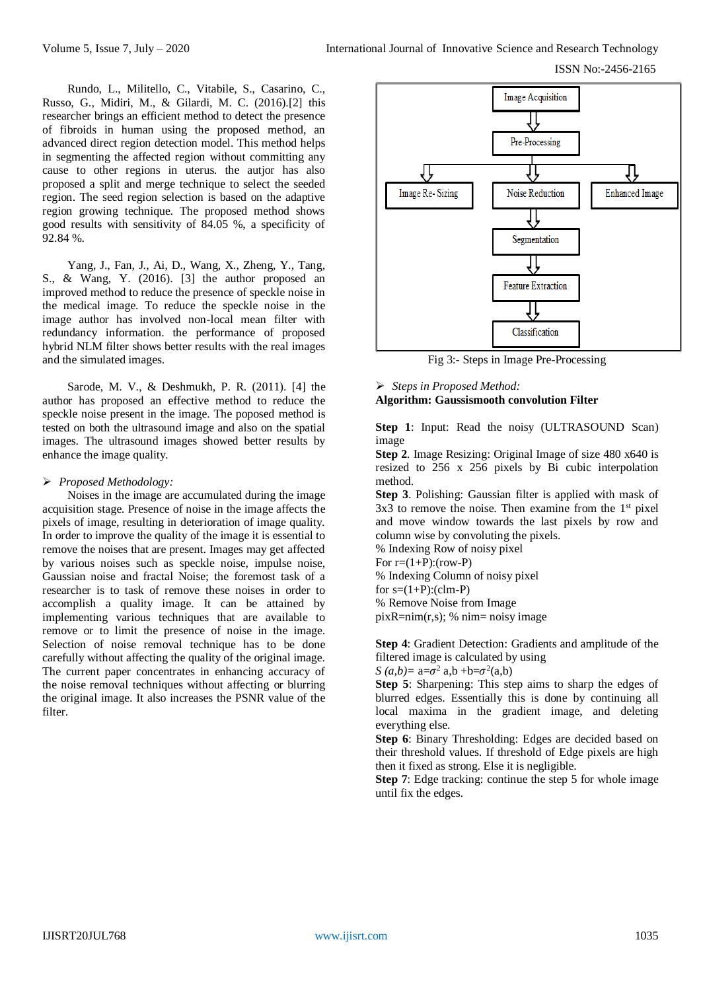Rundo, L., Militello, C., Vitabile, S., Casarino, C., Russo, G., Midiri, M., & Gilardi, M. C. (2016).[2] this researcher brings an efficient method to detect the presence of fibroids in human using the proposed method, an advanced direct region detection model. This method helps in segmenting the affected region without committing any cause to other regions in uterus. the autjor has also proposed a split and merge technique to select the seeded region. The seed region selection is based on the adaptive region growing technique. The proposed method shows good results with sensitivity of 84.05 %, a specificity of 92.84 %.

Yang, J., Fan, J., Ai, D., Wang, X., Zheng, Y., Tang, S., & Wang, Y. (2016). [3] the author proposed an improved method to reduce the presence of speckle noise in the medical image. To reduce the speckle noise in the image author has involved non-local mean filter with redundancy information. the performance of proposed hybrid NLM filter shows better results with the real images and the simulated images.

Sarode, M. V., & Deshmukh, P. R. (2011). [4] the author has proposed an effective method to reduce the speckle noise present in the image. The poposed method is tested on both the ultrasound image and also on the spatial images. The ultrasound images showed better results by enhance the image quality.

#### *Proposed Methodology:*

Noises in the image are accumulated during the image acquisition stage. Presence of noise in the image affects the pixels of image, resulting in deterioration of image quality. In order to improve the quality of the image it is essential to remove the noises that are present. Images may get affected by various noises such as speckle noise, impulse noise, Gaussian noise and fractal Noise; the foremost task of a researcher is to task of remove these noises in order to accomplish a quality image. It can be attained by implementing various techniques that are available to remove or to limit the presence of noise in the image. Selection of noise removal technique has to be done carefully without affecting the quality of the original image. The current paper concentrates in enhancing accuracy of the noise removal techniques without affecting or blurring the original image. It also increases the PSNR value of the filter.



Fig 3:- Steps in Image Pre-Processing

# *Steps in Proposed Method:* **Algorithm: Gaussismooth convolution Filter**

**Step 1**: Input: Read the noisy (ULTRASOUND Scan) image

**Step 2**. Image Resizing: Original Image of size 480 x640 is resized to 256 x 256 pixels by Bi cubic interpolation method.

**Step 3**. Polishing: Gaussian filter is applied with mask of  $3x3$  to remove the noise. Then examine from the  $1<sup>st</sup>$  pixel and move window towards the last pixels by row and column wise by convoluting the pixels.

% Indexing Row of noisy pixel For  $r=(1+P):(row-P)$ % Indexing Column of noisy pixel for  $s=(1+P):(clm-P)$ % Remove Noise from Image  $pix$ R=nim(r,s); % nim= noisy image

**Step 4**: Gradient Detection: Gradients and amplitude of the filtered image is calculated by using

*S*  $(a,b) = a = \sigma^2$  a,b +b= $\sigma^2$  $(a,b)$ 

**Step 5**: Sharpening: This step aims to sharp the edges of blurred edges. Essentially this is done by continuing all local maxima in the gradient image, and deleting everything else.

**Step 6**: Binary Thresholding: Edges are decided based on their threshold values. If threshold of Edge pixels are high then it fixed as strong. Else it is negligible.

**Step 7**: Edge tracking: continue the step 5 for whole image until fix the edges.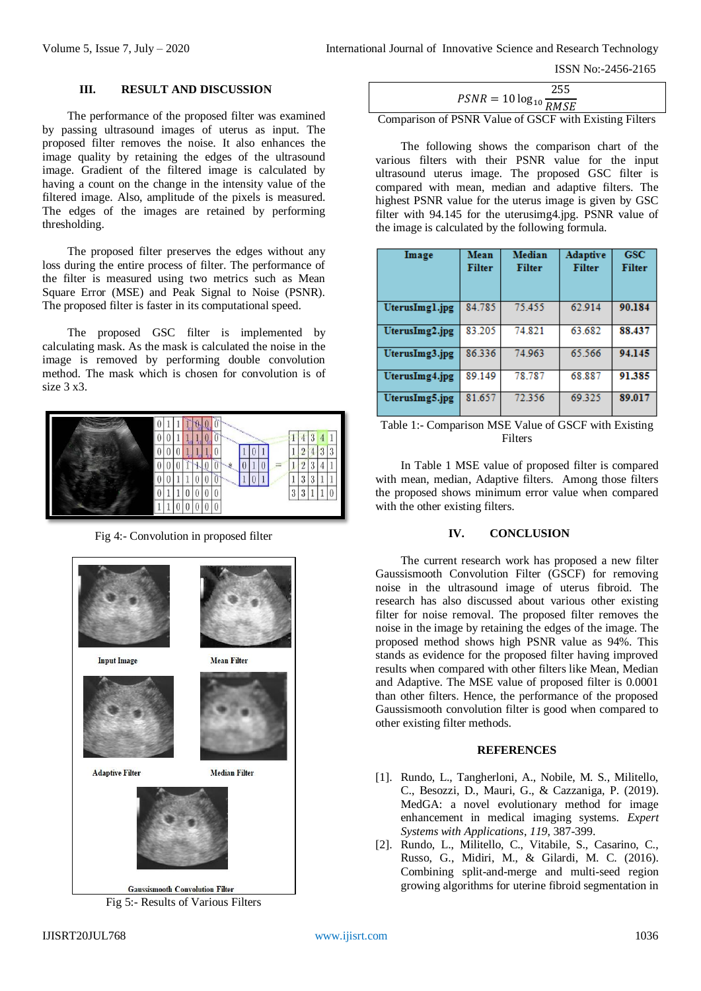## **III. RESULT AND DISCUSSION**

The performance of the proposed filter was examined by passing ultrasound images of uterus as input. The proposed filter removes the noise. It also enhances the image quality by retaining the edges of the ultrasound image. Gradient of the filtered image is calculated by having a count on the change in the intensity value of the filtered image. Also, amplitude of the pixels is measured. The edges of the images are retained by performing thresholding.

The proposed filter preserves the edges without any loss during the entire process of filter. The performance of the filter is measured using two metrics such as Mean Square Error (MSE) and Peak Signal to Noise (PSNR). The proposed filter is faster in its computational speed.

The proposed GSC filter is implemented by calculating mask. As the mask is calculated the noise in the image is removed by performing double convolution method. The mask which is chosen for convolution is of size 3 x3.



Fig 4:- Convolution in proposed filter



Fig 5:- Results of Various Filters

| $PSNR = 10 \log_{10} \frac{1}{RMSE}$ | 255. |
|--------------------------------------|------|
|                                      |      |

Comparison of PSNR Value of GSCF with Existing Filters

The following shows the comparison chart of the various filters with their PSNR value for the input ultrasound uterus image. The proposed GSC filter is compared with mean, median and adaptive filters. The highest PSNR value for the uterus image is given by GSC filter with 94.145 for the uterusimg4.jpg. PSNR value of the image is calculated by the following formula.

| Image          | Mean<br><b>Filter</b> | Median<br><b>Filter</b> | <b>Adaptive</b><br><b>Filter</b> | <b>GSC</b><br><b>Filter</b> |
|----------------|-----------------------|-------------------------|----------------------------------|-----------------------------|
| UterusImgl.jpg | 84.785                | 75.455                  | 62.914                           | 90.184                      |
| UterusImg2.jpg | 83.205                | 74.821                  | 63.682                           | 88.437                      |
| UterusImg3.jpg | 86.336                | 74.963                  | 65.566                           | 94.145                      |
| UterusImg4.jpg | 89.149                | 78.787                  | 68.887                           | 91.385                      |
| UterusImg5.jpg | 81.657                | 72.356                  | 69.325                           | 89.017                      |

Table 1:- Comparison MSE Value of GSCF with Existing **Filters** 

In Table 1 MSE value of proposed filter is compared with mean, median, Adaptive filters. Among those filters the proposed shows minimum error value when compared with the other existing filters.

# **IV. CONCLUSION**

The current research work has proposed a new filter Gaussismooth Convolution Filter (GSCF) for removing noise in the ultrasound image of uterus fibroid. The research has also discussed about various other existing filter for noise removal. The proposed filter removes the noise in the image by retaining the edges of the image. The proposed method shows high PSNR value as 94%. This stands as evidence for the proposed filter having improved results when compared with other filters like Mean, Median and Adaptive. The MSE value of proposed filter is 0.0001 than other filters. Hence, the performance of the proposed Gaussismooth convolution filter is good when compared to other existing filter methods.

## **REFERENCES**

- [1]. Rundo, L., Tangherloni, A., Nobile, M. S., Militello, C., Besozzi, D., Mauri, G., & Cazzaniga, P. (2019). MedGA: a novel evolutionary method for image enhancement in medical imaging systems. *Expert Systems with Applications*, *119*, 387-399.
- [2]. Rundo, L., Militello, C., Vitabile, S., Casarino, C., Russo, G., Midiri, M., & Gilardi, M. C. (2016). Combining split-and-merge and multi-seed region growing algorithms for uterine fibroid segmentation in